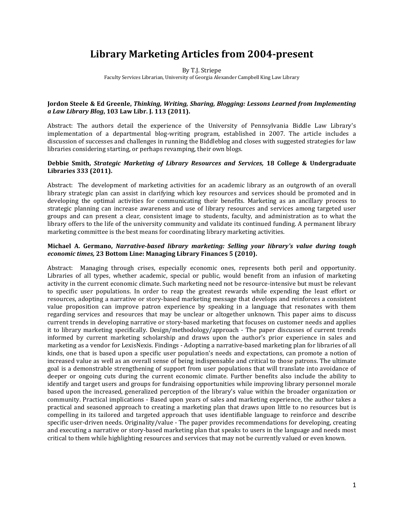# **Library Marketing Articles from 2004-present**

By T.J. Striepe

Faculty Services Librarian, University of Georgia Alexander Campbell King Law Library

# **Jordon Steele & Ed Greenle,** *Thinking, Writing, Sharing, Blogging: Lessons Learned from Implementing a Law Library Blog***, 103 Law Libr. J. 113 (2011).**

Abstract: The authors detail the experience of the University of Pennsylvania Biddle Law Library's implementation of a departmental blog-writing program, established in 2007. The article includes a discussion of successes and challenges in running the Biddleblog and closes with suggested strategies for law libraries considering starting, or perhaps revamping, their own blogs.

# **Debbie Smith,** *Strategic Marketing of Library Resources and Services,* **18 College & Undergraduate Libraries 333 (2011).**

Abstract: The development of marketing activities for an academic library as an outgrowth of an overall library strategic plan can assist in clarifying which key resources and services should be promoted and in developing the optimal activities for communicating their benefits. Marketing as an ancillary process to strategic planning can increase awareness and use of library resources and services among targeted user groups and can present a clear, consistent image to students, faculty, and administration as to what the library offers to the life of the university community and validate its continued funding. A permanent library marketing committee is the best means for coordinating library marketing activities.

## **Michael A. Germano,** *Narrative-based library marketing: Selling your library's value during tough economic times,* **23 Bottom Line: Managing Library Finances 5 (2010).**

Abstract: Managing through crises, especially economic ones, represents both peril and opportunity. Libraries of all types, whether academic, special or public, would benefit from an infusion of marketing activity in the current economic climate. Such marketing need not be resource-intensive but must be relevant to specific user populations. In order to reap the greatest rewards while expending the least effort or resources, adopting a narrative or story-based marketing message that develops and reinforces a consistent value proposition can improve patron experience by speaking in a language that resonates with them regarding services and resources that may be unclear or altogether unknown. This paper aims to discuss current trends in developing narrative or story-based marketing that focuses on customer needs and applies it to library marketing specifically. Design/methodology/approach - The paper discusses of current trends informed by current marketing scholarship and draws upon the author's prior experience in sales and marketing as a vendor for LexisNexis. Findings - Adopting a narrative-based marketing plan for libraries of all kinds, one that is based upon a specific user population's needs and expectations, can promote a notion of increased value as well as an overall sense of being indispensable and critical to those patrons. The ultimate goal is a demonstrable strengthening of support from user populations that will translate into avoidance of deeper or ongoing cuts during the current economic climate. Further benefits also include the ability to identify and target users and groups for fundraising opportunities while improving library personnel morale based upon the increased, generalized perception of the library's value within the broader organization or community. Practical implications - Based upon years of sales and marketing experience, the author takes a practical and seasoned approach to creating a marketing plan that draws upon little to no resources but is compelling in its tailored and targeted approach that uses identifiable language to reinforce and describe specific user-driven needs. Originality/value - The paper provides recommendations for developing, creating and executing a narrative or story-based marketing plan that speaks to users in the language and needs most critical to them while highlighting resources and services that may not be currently valued or even known.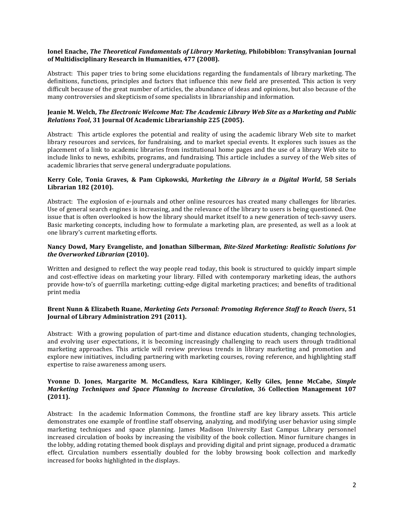#### **Ionel Enache,** *The Theoretical Fundamentals of Library Marketing,* **Philobiblon: Transylvanian Journal of Multidisciplinary Research in Humanities, 477 (2008).**

Abstract: This paper tries to bring some elucidations regarding the fundamentals of library marketing. The definitions, functions, principles and factors that influence this new field are presented. This action is very difficult because of the great number of articles, the abundance of ideas and opinions, but also because of the many controversies and skepticism of some specialists in librarianship and information.

# **Jeanie M. Welch,** *The Electronic Welcome Mat: The Academic Library Web Site as a Marketing and Public Relations Tool***, 31 Journal Of Academic Librarianship 225 (2005).**

Abstract: This article explores the potential and reality of using the academic library Web site to market library resources and services, for fundraising, and to market special events. It explores such issues as the placement of a link to academic libraries from institutional home pages and the use of a library Web site to include links to news, exhibits, programs, and fundraising. This article includes a survey of the Web sites of academic libraries that serve general undergraduate populations.

## **Kerry Cole, Tonia Graves, & Pam Cipkowski,** *Marketing the Library in a Digital World***, 58 Serials Librarian 182 (2010).**

Abstract: The explosion of e-journals and other online resources has created many challenges for libraries. Use of general search engines is increasing, and the relevance of the library to users is being questioned. One issue that is often overlooked is how the library should market itself to a new generation of tech-savvy users. Basic marketing concepts, including how to formulate a marketing plan, are presented, as well as a look at one library's current marketing efforts.

#### **Nancy Dowd, Mary Evangeliste, and Jonathan Silberman***, Bite-Sized Marketing: Realistic Solutions for the Overworked Librarian* **(2010).**

Written and designed to reflect the way people read today, this book is structured to quickly impart simple and cost-effective ideas on marketing your library. Filled with contemporary marketing ideas, the authors provide how-to's of guerrilla marketing; cutting-edge digital marketing practices; and benefits of traditional print media

### **Brent Nunn & Elizabeth Ruane,** *Marketing Gets Personal: Promoting Reference Staff to Reach Users***, 51 Journal of Library Administration 291 (2011).**

Abstract: With a growing population of part-time and distance education students, changing technologies, and evolving user expectations, it is becoming increasingly challenging to reach users through traditional marketing approaches. This article will review previous trends in library marketing and promotion and explore new initiatives, including partnering with marketing courses, roving reference, and highlighting staff expertise to raise awareness among users.

### **Yvonne D. Jones, Margarite M. McCandless, Kara Kiblinger, Kelly Giles, Jenne McCabe,** *Simple Marketing Techniques and Space Planning to Increase Circulation***, 36 Collection Management 107 (2011).**

Abstract: In the academic Information Commons, the frontline staff are key library assets. This article demonstrates one example of frontline staff observing, analyzing, and modifying user behavior using simple marketing techniques and space planning. James Madison University East Campus Library personnel increased circulation of books by increasing the visibility of the book collection. Minor furniture changes in the lobby, adding rotating themed book displays and providing digital and print signage, produced a dramatic effect. Circulation numbers essentially doubled for the lobby browsing book collection and markedly increased for books highlighted in the displays.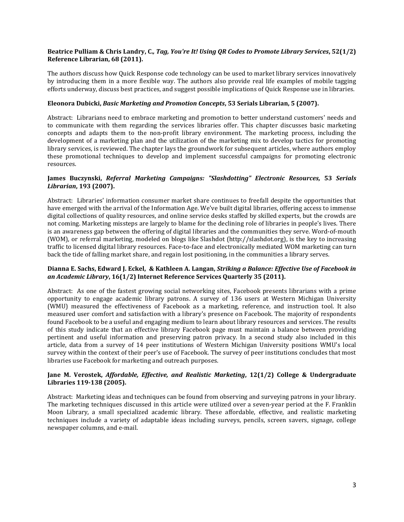## **Beatrice Pulliam & Chris Landry, C.***, Tag, You're It! Using QR Codes to Promote Library Services***, 52(1/2) Reference Librarian, 68 (2011).**

The authors discuss how Quick Response code technology can be used to market library services innovatively by introducing them in a more flexible way. The authors also provide real life examples of mobile tagging efforts underway, discuss best practices, and suggest possible implications of Quick Response use in libraries.

## **Eleonora Dubicki,** *Basic Marketing and Promotion Concepts***, 53 Serials Librarian, 5 (2007).**

Abstract: Librarians need to embrace marketing and promotion to better understand customers' needs and to communicate with them regarding the services libraries offer. This chapter discusses basic marketing concepts and adapts them to the non-profit library environment. The marketing process, including the development of a marketing plan and the utilization of the marketing mix to develop tactics for promoting library services, is reviewed. The chapter lays the groundwork for subsequent articles, where authors employ these promotional techniques to develop and implement successful campaigns for promoting electronic resources.

# **James Buczynski,** *Referral Marketing Campaigns: "Slashdotting" Electronic Resources,* **53** *Serials Librarian***, 193 (2007).**

Abstract: Libraries' information consumer market share continues to freefall despite the opportunities that have emerged with the arrival of the Information Age. We've built digital libraries, offering access to immense digital collections of quality resources, and online service desks staffed by skilled experts, but the crowds are not coming. Marketing missteps are largely to blame for the declining role of libraries in people's lives. There is an awareness gap between the offering of digital libraries and the communities they serve. Word-of-mouth (WOM), or referral marketing, modeled on blogs like Slashdot (http://slashdot.org), is the key to increasing traffic to licensed digital library resources. Face-to-face and electronically mediated WOM marketing can turn back the tide of falling market share, and regain lost positioning, in the communities a library serves.

### **Dianna E. Sachs, Edward J. Eckel, & Kathleen A. Langan,** *Striking a Balance: Effective Use of Facebook in an Academic Library***, 16(1/2) Internet Reference Services Quarterly 35 (2011).**

Abstract: As one of the fastest growing social networking sites, Facebook presents librarians with a prime opportunity to engage academic library patrons. A survey of 136 users at Western Michigan University (WMU) measured the effectiveness of Facebook as a marketing, reference, and instruction tool. It also measured user comfort and satisfaction with a library's presence on Facebook. The majority of respondents found Facebook to be a useful and engaging medium to learn about library resources and services. The results of this study indicate that an effective library Facebook page must maintain a balance between providing pertinent and useful information and preserving patron privacy. In a second study also included in this article, data from a survey of 14 peer institutions of Western Michigan University positions WMU's local survey within the context of their peer's use of Facebook. The survey of peer institutions concludes that most libraries use Facebook for marketing and outreach purposes.

### **Jane M. Verostek,** *Affordable, Effective, and Realistic Marketing***, 12(1/2) College & Undergraduate Libraries 119-138 (2005).**

Abstract: Marketing ideas and techniques can be found from observing and surveying patrons in your library. The marketing techniques discussed in this article were utilized over a seven-year period at the F. Franklin Moon Library, a small specialized academic library. These affordable, effective, and realistic marketing techniques include a variety of adaptable ideas including surveys, pencils, screen savers, signage, college newspaper columns, and e-mail.